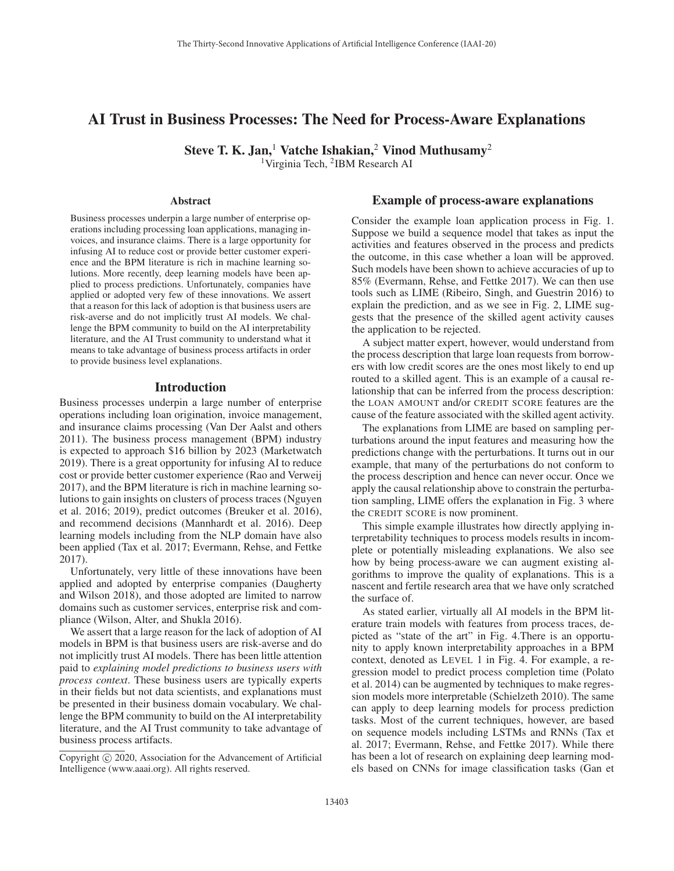# AI Trust in Business Processes: The Need for Process-Aware Explanations

Steve T. K. Jan,<sup>1</sup> Vatche Ishakian,<sup>2</sup> Vinod Muthusamy<sup>2</sup>

<sup>1</sup>Virginia Tech, <sup>2</sup>IBM Research AI

### Abstract

Business processes underpin a large number of enterprise operations including processing loan applications, managing invoices, and insurance claims. There is a large opportunity for infusing AI to reduce cost or provide better customer experience and the BPM literature is rich in machine learning solutions. More recently, deep learning models have been applied to process predictions. Unfortunately, companies have applied or adopted very few of these innovations. We assert that a reason for this lack of adoption is that business users are risk-averse and do not implicitly trust AI models. We challenge the BPM community to build on the AI interpretability literature, and the AI Trust community to understand what it means to take advantage of business process artifacts in order to provide business level explanations.

#### Introduction

Business processes underpin a large number of enterprise operations including loan origination, invoice management, and insurance claims processing (Van Der Aalst and others 2011). The business process management (BPM) industry is expected to approach \$16 billion by 2023 (Marketwatch 2019). There is a great opportunity for infusing AI to reduce cost or provide better customer experience (Rao and Verweij 2017), and the BPM literature is rich in machine learning solutions to gain insights on clusters of process traces (Nguyen et al. 2016; 2019), predict outcomes (Breuker et al. 2016), and recommend decisions (Mannhardt et al. 2016). Deep learning models including from the NLP domain have also been applied (Tax et al. 2017; Evermann, Rehse, and Fettke 2017).

Unfortunately, very little of these innovations have been applied and adopted by enterprise companies (Daugherty and Wilson 2018), and those adopted are limited to narrow domains such as customer services, enterprise risk and compliance (Wilson, Alter, and Shukla 2016).

We assert that a large reason for the lack of adoption of AI models in BPM is that business users are risk-averse and do not implicitly trust AI models. There has been little attention paid to *explaining model predictions to business users with process context*. These business users are typically experts in their fields but not data scientists, and explanations must be presented in their business domain vocabulary. We challenge the BPM community to build on the AI interpretability literature, and the AI Trust community to take advantage of business process artifacts.

#### Example of process-aware explanations

Consider the example loan application process in Fig. 1. Suppose we build a sequence model that takes as input the activities and features observed in the process and predicts the outcome, in this case whether a loan will be approved. Such models have been shown to achieve accuracies of up to 85% (Evermann, Rehse, and Fettke 2017). We can then use tools such as LIME (Ribeiro, Singh, and Guestrin 2016) to explain the prediction, and as we see in Fig. 2, LIME suggests that the presence of the skilled agent activity causes the application to be rejected.

A subject matter expert, however, would understand from the process description that large loan requests from borrowers with low credit scores are the ones most likely to end up routed to a skilled agent. This is an example of a causal relationship that can be inferred from the process description: the LOAN AMOUNT and/or CREDIT SCORE features are the cause of the feature associated with the skilled agent activity.

The explanations from LIME are based on sampling perturbations around the input features and measuring how the predictions change with the perturbations. It turns out in our example, that many of the perturbations do not conform to the process description and hence can never occur. Once we apply the causal relationship above to constrain the perturbation sampling, LIME offers the explanation in Fig. 3 where the CREDIT SCORE is now prominent.

This simple example illustrates how directly applying interpretability techniques to process models results in incomplete or potentially misleading explanations. We also see how by being process-aware we can augment existing algorithms to improve the quality of explanations. This is a nascent and fertile research area that we have only scratched the surface of.

As stated earlier, virtually all AI models in the BPM literature train models with features from process traces, depicted as "state of the art" in Fig. 4.There is an opportunity to apply known interpretability approaches in a BPM context, denoted as LEVEL 1 in Fig. 4. For example, a regression model to predict process completion time (Polato et al. 2014) can be augmented by techniques to make regression models more interpretable (Schielzeth 2010). The same can apply to deep learning models for process prediction tasks. Most of the current techniques, however, are based on sequence models including LSTMs and RNNs (Tax et al. 2017; Evermann, Rehse, and Fettke 2017). While there has been a lot of research on explaining deep learning models based on CNNs for image classification tasks (Gan et

Copyright  $\odot$  2020, Association for the Advancement of Artificial Intelligence (www.aaai.org). All rights reserved.